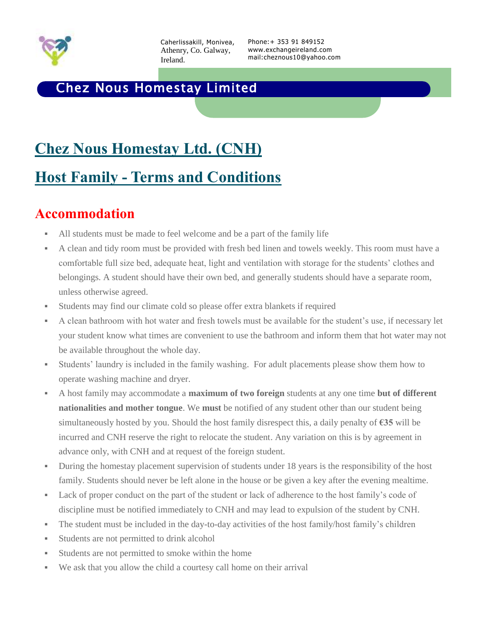

Caherlissakill, Monivea, Athenry, Co. Galway, Ireland.

Phone:+ 353 91 849152 www.exchangeireland.com mail:cheznous10@yahoo.com

#### Chez Nous Homestay Limited

# **Chez Nous Homestay Ltd. (CNH)**

### **Host Family - Terms and Conditions**

#### **Accommodation**

- All students must be made to feel welcome and be a part of the family life
- A clean and tidy room must be provided with fresh bed linen and towels weekly. This room must have a comfortable full size bed, adequate heat, light and ventilation with storage for the students' clothes and belongings. A student should have their own bed, and generally students should have a separate room, unless otherwise agreed.
- Students may find our climate cold so please offer extra blankets if required
- A clean bathroom with hot water and fresh towels must be available for the student's use, if necessary let your student know what times are convenient to use the bathroom and inform them that hot water may not be available throughout the whole day.
- Students' laundry is included in the family washing. For adult placements please show them how to operate washing machine and dryer.
- A host family may accommodate a **maximum of two foreign** students at any one time **but of different nationalities and mother tongue**. We **must** be notified of any student other than our student being simultaneously hosted by you. Should the host family disrespect this, a daily penalty of **€35** will be incurred and CNH reserve the right to relocate the student. Any variation on this is by agreement in advance only, with CNH and at request of the foreign student.
- During the homestay placement supervision of students under 18 years is the responsibility of the host family. Students should never be left alone in the house or be given a key after the evening mealtime.
- Lack of proper conduct on the part of the student or lack of adherence to the host family's code of discipline must be notified immediately to CNH and may lead to expulsion of the student by CNH.
- The student must be included in the day-to-day activities of the host family/host family's children
- Students are not permitted to drink alcohol
- Students are not permitted to smoke within the home
- We ask that you allow the child a courtesy call home on their arrival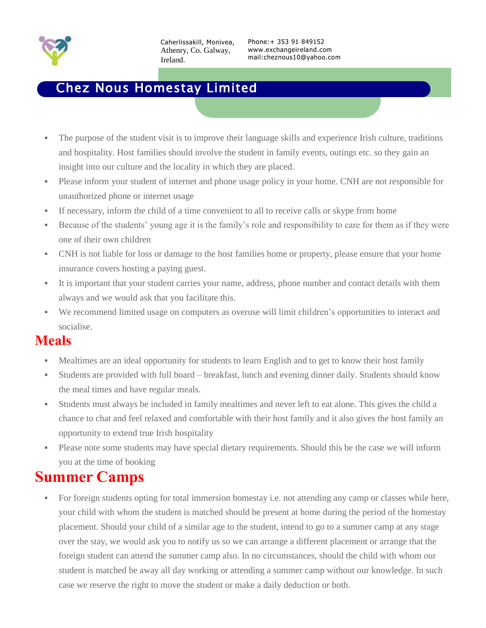

#### Chez Nous Homestay Limited

- The purpose of the student visit is to improve their language skills and experience Irish culture, traditions and hospitality. Host families should involve the student in family events, outings etc. so they gain an insight into our culture and the locality in which they are placed.
- Please inform your student of internet and phone usage policy in your home. CNH are not responsible for unauthorized phone or internet usage
- If necessary, inform the child of a time convenient to all to receive calls or skype from home
- Because of the students' young age it is the family's role and responsibility to care for them as if they were one of their own children
- CNH is not liable for loss or damage to the host families home or property, please ensure that your home insurance covers hosting a paying guest.
- It is important that your student carries your name, address, phone number and contact details with them always and we would ask that you facilitate this.
- We recommend limited usage on computers as overuse will limit children's opportunities to interact and socialise.

#### **Meals**

- Mealtimes are an ideal opportunity for students to learn English and to get to know their host family
- Students are provided with full board breakfast, lunch and evening dinner daily. Students should know the meal times and have regular meals.
- Students must always be included in family mealtimes and never left to eat alone. This gives the child a chance to chat and feel relaxed and comfortable with their host family and it also gives the host family an opportunity to extend true Irish hospitality
- Please note some students may have special dietary requirements. Should this be the case we will inform you at the time of booking

# **Summer Camps**

 For foreign students opting for total immersion homestay i.e. not attending any camp or classes while here, your child with whom the student is matched should be present at home during the period of the homestay placement. Should your child of a similar age to the student, intend to go to a summer camp at any stage over the stay, we would ask you to notify us so we can arrange a different placement or arrange that the foreign student can attend the summer camp also. In no circumstances, should the child with whom our student is matched be away all day working or attending a summer camp without our knowledge. In such case we reserve the right to move the student or make a daily deduction or both.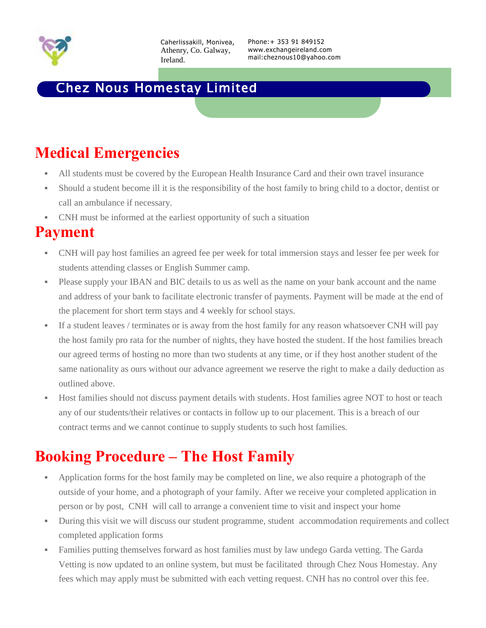

Caherlissakill, Monivea, Athenry, Co. Galway, Ireland.

Phone:+ 353 91 849152 www.exchangeireland.com mail:cheznous10@yahoo.com

#### Chez Nous Homestay Limited

# **Medical Emergencies**

- All students must be covered by the European Health Insurance Card and their own travel insurance
- Should a student become ill it is the responsibility of the host family to bring child to a doctor, dentist or call an ambulance if necessary.
- CNH must be informed at the earliest opportunity of such a situation

### **Payment**

- CNH will pay host families an agreed fee per week for total immersion stays and lesser fee per week for students attending classes or English Summer camp.
- Please supply your IBAN and BIC details to us as well as the name on your bank account and the name and address of your bank to facilitate electronic transfer of payments. Payment will be made at the end of the placement for short term stays and 4 weekly for school stays.
- If a student leaves / terminates or is away from the host family for any reason whatsoever CNH will pay the host family pro rata for the number of nights, they have hosted the student. If the host families breach our agreed terms of hosting no more than two students at any time, or if they host another student of the same nationality as ours without our advance agreement we reserve the right to make a daily deduction as outlined above.
- Host families should not discuss payment details with students. Host families agree NOT to host or teach any of our students/their relatives or contacts in follow up to our placement. This is a breach of our contract terms and we cannot continue to supply students to such host families.

# **Booking Procedure – The Host Family**

- Application forms for the host family may be completed on line, we also require a photograph of the outside of your home, and a photograph of your family. After we receive your completed application in person or by post, CNH will call to arrange a convenient time to visit and inspect your home
- During this visit we will discuss our student programme, student accommodation requirements and collect completed application forms
- Families putting themselves forward as host families must by law undego Garda vetting. The Garda Vetting is now updated to an online system, but must be facilitated through Chez Nous Homestay. Any fees which may apply must be submitted with each vetting request. CNH has no control over this fee.